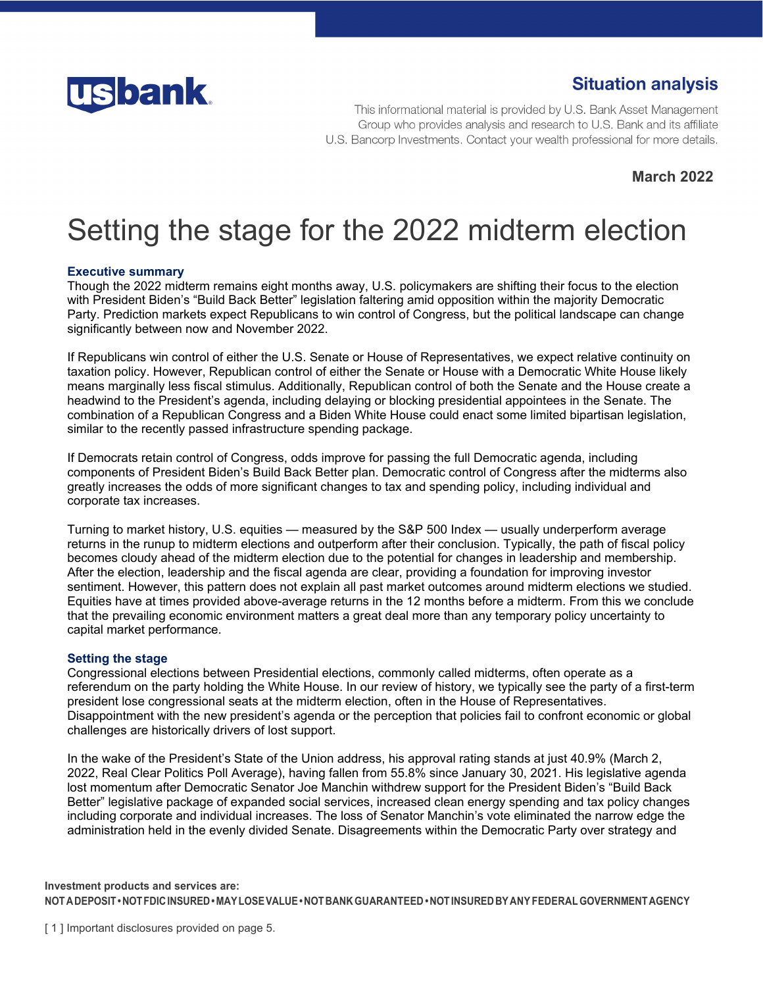

# **Situation analysis**

This informational material is provided by U.S. Bank Asset Management Group who provides analysis and research to U.S. Bank and its affiliate U.S. Bancorp Investments. Contact your wealth professional for more details.

**March 2022** 

# Setting the stage for the 2022 midterm election

# **Executive summary**

Though the 2022 midterm remains eight months away, U.S. policymakers are shifting their focus to the election with President Biden's "Build Back Better" legislation faltering amid opposition within the majority Democratic Party. Prediction markets expect Republicans to win control of Congress, but the political landscape can change significantly between now and November 2022.

If Republicans win control of either the U.S. Senate or House of Representatives, we expect relative continuity on taxation policy. However, Republican control of either the Senate or House with a Democratic White House likely means marginally less fiscal stimulus. Additionally, Republican control of both the Senate and the House create a headwind to the President's agenda, including delaying or blocking presidential appointees in the Senate. The combination of a Republican Congress and a Biden White House could enact some limited bipartisan legislation, similar to the recently passed infrastructure spending package.

If Democrats retain control of Congress, odds improve for passing the full Democratic agenda, including components of President Biden's Build Back Better plan. Democratic control of Congress after the midterms also greatly increases the odds of more significant changes to tax and spending policy, including individual and corporate tax increases.

Turning to market history, U.S. equities — measured by the S&P 500 Index — usually underperform average returns in the runup to midterm elections and outperform after their conclusion. Typically, the path of fiscal policy becomes cloudy ahead of the midterm election due to the potential for changes in leadership and membership. After the election, leadership and the fiscal agenda are clear, providing a foundation for improving investor sentiment. However, this pattern does not explain all past market outcomes around midterm elections we studied. Equities have at times provided above-average returns in the 12 months before a midterm. From this we conclude that the prevailing economic environment matters a great deal more than any temporary policy uncertainty to capital market performance.

#### **Setting the stage**

Congressional elections between Presidential elections, commonly called midterms, often operate as a referendum on the party holding the White House. In our review of history, we typically see the party of a first-term president lose congressional seats at the midterm election, often in the House of Representatives. Disappointment with the new president's agenda or the perception that policies fail to confront economic or global challenges are historically drivers of lost support.

In the wake of the President's State of the Union address, his approval rating stands at just 40.9% (March 2, 2022, Real Clear Politics Poll Average), having fallen from 55.8% since January 30, 2021. His legislative agenda lost momentum after Democratic Senator Joe Manchin withdrew support for the President Biden's "Build Back Better" legislative package of expanded social services, increased clean energy spending and tax policy changes including corporate and individual increases. The loss of Senator Manchin's vote eliminated the narrow edge the administration held in the evenly divided Senate. Disagreements within the Democratic Party over strategy and

**Investment products and services are: NOT A DEPOSIT • NOT FDIC INSURED • MAY LOSE VALUE • NOT BANK GUARANTEED • NOT INSURED BY ANY FEDERAL GOVERNMENT AGENCY**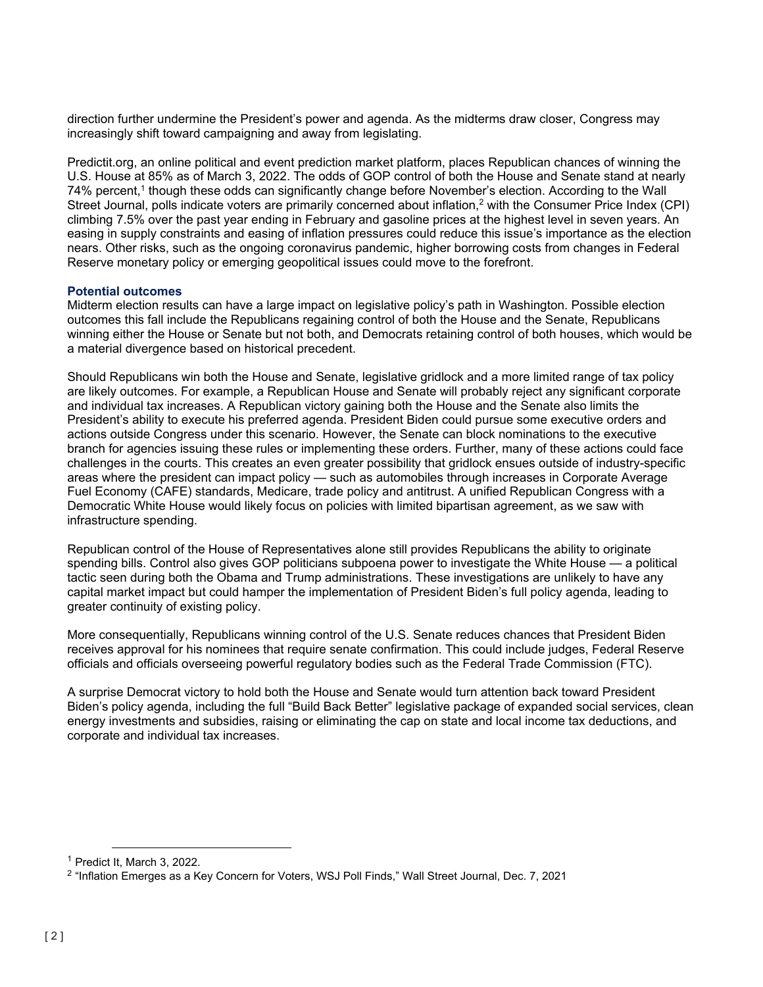direction further undermine the President's power and agenda. As the midterms draw closer, Congress may increasingly shift toward campaigning and away from legislating.

Predictit.org, an online political and event prediction market platform, places Republican chances of winning the U.S. House at 85% as of March 3, 2022. The odds of GOP control of both the House and Senate stand at nearly 74% percent,<sup>1</sup> though these odds can significantly change before November's election. According to the Wall Street Journal, polls indicate voters are primarily concerned about inflation,<sup>2</sup> with the Consumer Price Index (CPI) climbing 7.5% over the past year ending in February and gasoline prices at the highest level in seven years. An easing in supply constraints and easing of inflation pressures could reduce this issue's importance as the election nears. Other risks, such as the ongoing coronavirus pandemic, higher borrowing costs from changes in Federal Reserve monetary policy or emerging geopolitical issues could move to the forefront.

#### **Potential outcomes**

Midterm election results can have a large impact on legislative policy's path in Washington. Possible election outcomes this fall include the Republicans regaining control of both the House and the Senate, Republicans winning either the House or Senate but not both, and Democrats retaining control of both houses, which would be a material divergence based on historical precedent.

Should Republicans win both the House and Senate, legislative gridlock and a more limited range of tax policy are likely outcomes. For example, a Republican House and Senate will probably reject any significant corporate and individual tax increases. A Republican victory gaining both the House and the Senate also limits the President's ability to execute his preferred agenda. President Biden could pursue some executive orders and actions outside Congress under this scenario. However, the Senate can block nominations to the executive branch for agencies issuing these rules or implementing these orders. Further, many of these actions could face challenges in the courts. This creates an even greater possibility that gridlock ensues outside of industry-specific areas where the president can impact policy — such as automobiles through increases in Corporate Average Fuel Economy (CAFE) standards, Medicare, trade policy and antitrust. A unified Republican Congress with a Democratic White House would likely focus on policies with limited bipartisan agreement, as we saw with infrastructure spending.

Republican control of the House of Representatives alone still provides Republicans the ability to originate spending bills. Control also gives GOP politicians subpoena power to investigate the White House — a political tactic seen during both the Obama and Trump administrations. These investigations are unlikely to have any capital market impact but could hamper the implementation of President Biden's full policy agenda, leading to greater continuity of existing policy.

More consequentially, Republicans winning control of the U.S. Senate reduces chances that President Biden receives approval for his nominees that require senate confirmation. This could include judges, Federal Reserve officials and officials overseeing powerful regulatory bodies such as the Federal Trade Commission (FTC).

A surprise Democrat victory to hold both the House and Senate would turn attention back toward President Biden's policy agenda, including the full "Build Back Better" legislative package of expanded social services, clean energy investments and subsidies, raising or eliminating the cap on state and local income tax deductions, and corporate and individual tax increases.

<sup>&</sup>lt;sup>1</sup> Predict It, March 3, 2022.<br><sup>2</sup> "Inflation Emerges as a Key Concern for Voters, WSJ Poll Finds," Wall Street Journal, Dec. 7, 2021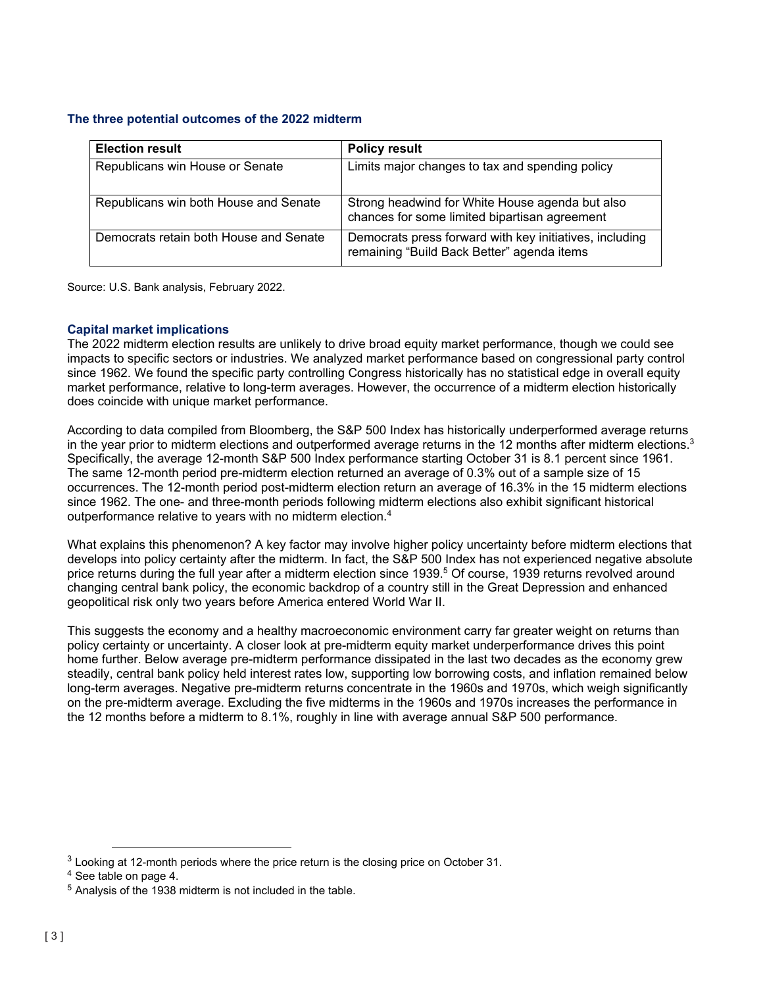# **The three potential outcomes of the 2022 midterm**

| <b>Election result</b>                 | <b>Policy result</b>                                                                                  |
|----------------------------------------|-------------------------------------------------------------------------------------------------------|
| Republicans win House or Senate        | Limits major changes to tax and spending policy                                                       |
| Republicans win both House and Senate  | Strong headwind for White House agenda but also<br>chances for some limited bipartisan agreement      |
| Democrats retain both House and Senate | Democrats press forward with key initiatives, including<br>remaining "Build Back Better" agenda items |

Source: U.S. Bank analysis, February 2022.

# **Capital market implications**

The 2022 midterm election results are unlikely to drive broad equity market performance, though we could see impacts to specific sectors or industries. We analyzed market performance based on congressional party control since 1962. We found the specific party controlling Congress historically has no statistical edge in overall equity market performance, relative to long-term averages. However, the occurrence of a midterm election historically does coincide with unique market performance.

According to data compiled from Bloomberg, the S&P 500 Index has historically underperformed average returns in the year prior to midterm elections and outperformed average returns in the 12 months after midterm elections.<sup>3</sup> Specifically, the average 12-month S&P 500 Index performance starting October 31 is 8.1 percent since 1961. The same 12-month period pre-midterm election returned an average of 0.3% out of a sample size of 15 occurrences. The 12-month period post-midterm election return an average of 16.3% in the 15 midterm elections since 1962. The one- and three-month periods following midterm elections also exhibit significant historical outperformance relative to years with no midterm election.4

What explains this phenomenon? A key factor may involve higher policy uncertainty before midterm elections that develops into policy certainty after the midterm. In fact, the S&P 500 Index has not experienced negative absolute price returns during the full year after a midterm election since 1939.<sup>5</sup> Of course, 1939 returns revolved around changing central bank policy, the economic backdrop of a country still in the Great Depression and enhanced geopolitical risk only two years before America entered World War II.

This suggests the economy and a healthy macroeconomic environment carry far greater weight on returns than policy certainty or uncertainty. A closer look at pre-midterm equity market underperformance drives this point home further. Below average pre-midterm performance dissipated in the last two decades as the economy grew steadily, central bank policy held interest rates low, supporting low borrowing costs, and inflation remained below long-term averages. Negative pre-midterm returns concentrate in the 1960s and 1970s, which weigh significantly on the pre-midterm average. Excluding the five midterms in the 1960s and 1970s increases the performance in the 12 months before a midterm to 8.1%, roughly in line with average annual S&P 500 performance.

 $3$  Looking at 12-month periods where the price return is the closing price on October 31.

<sup>4</sup> See table on page 4.

<sup>5</sup> Analysis of the 1938 midterm is not included in the table.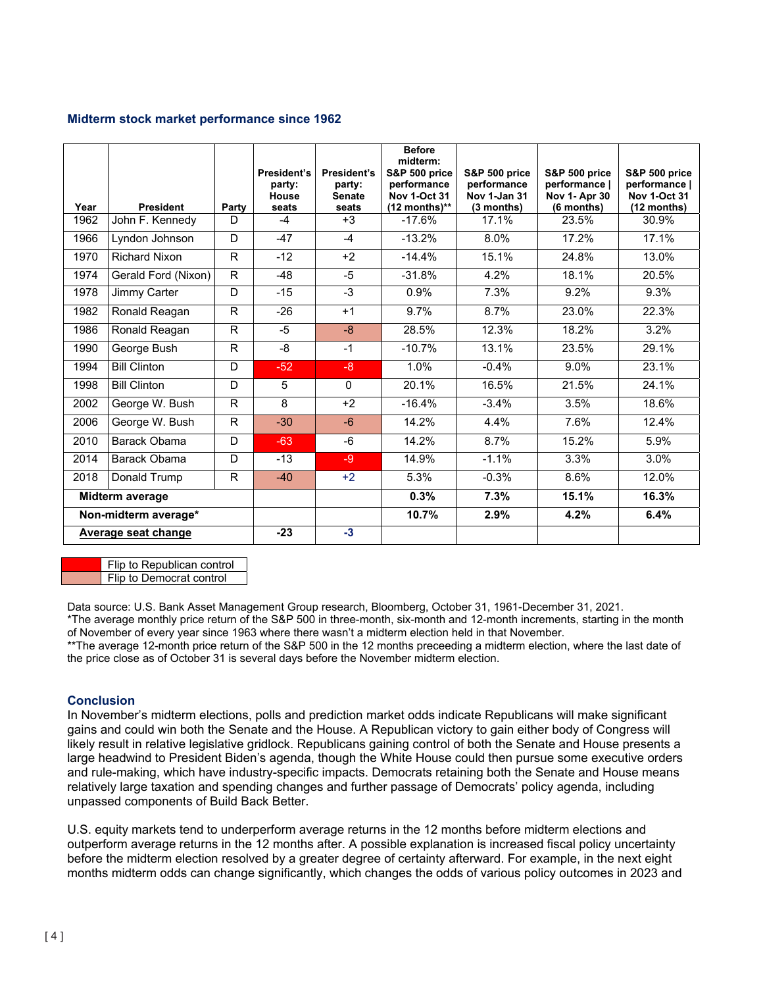#### **Midterm stock market performance since 1962**

| Year                 | <b>President</b>     | Party        | President's<br>party:<br>House<br>seats | President's<br>party:<br><b>Senate</b><br>seats | <b>Before</b><br>midterm:<br><b>S&amp;P 500 price</b><br>performance<br><b>Nov 1-Oct 31</b><br>$(12$ months)** | <b>S&amp;P 500 price</b><br>performance<br>Nov 1-Jan 31<br>(3 months) | S&P 500 price<br>performance  <br><b>Nov 1- Apr 30</b><br>(6 months) | <b>S&amp;P 500 price</b><br>performance  <br><b>Nov 1-Oct 31</b><br>(12 months) |
|----------------------|----------------------|--------------|-----------------------------------------|-------------------------------------------------|----------------------------------------------------------------------------------------------------------------|-----------------------------------------------------------------------|----------------------------------------------------------------------|---------------------------------------------------------------------------------|
| 1962                 | John F. Kennedy      | D            | $-4$                                    | $+3$                                            | $-17.6%$                                                                                                       | 17.1%                                                                 | 23.5%                                                                | 30.9%                                                                           |
| 1966                 | Lyndon Johnson       | D            | $-47$                                   | $-4$                                            | $-13.2%$                                                                                                       | 8.0%                                                                  | 17.2%                                                                | 17.1%                                                                           |
| 1970                 | <b>Richard Nixon</b> | R            | $-12$                                   | $+2$                                            | $-14.4%$                                                                                                       | 15.1%                                                                 | 24.8%                                                                | 13.0%                                                                           |
| 1974                 | Gerald Ford (Nixon)  | $\mathsf{R}$ | $-48$                                   | $-5$                                            | $-31.8%$                                                                                                       | 4.2%                                                                  | 18.1%                                                                | 20.5%                                                                           |
| 1978                 | Jimmy Carter         | D            | $-15$                                   | $-3$                                            | 0.9%                                                                                                           | 7.3%                                                                  | 9.2%                                                                 | 9.3%                                                                            |
| 1982                 | Ronald Reagan        | R.           | $-26$                                   | $+1$                                            | 9.7%                                                                                                           | 8.7%                                                                  | 23.0%                                                                | 22.3%                                                                           |
| 1986                 | Ronald Reagan        | R.           | $-5$                                    | $-8$                                            | 28.5%                                                                                                          | 12.3%                                                                 | 18.2%                                                                | 3.2%                                                                            |
| 1990                 | George Bush          | R            | -8                                      | $-1$                                            | $-10.7%$                                                                                                       | 13.1%                                                                 | 23.5%                                                                | 29.1%                                                                           |
| 1994                 | <b>Bill Clinton</b>  | D            | $-52$                                   | $-8$                                            | 1.0%                                                                                                           | $-0.4%$                                                               | 9.0%                                                                 | 23.1%                                                                           |
| 1998                 | <b>Bill Clinton</b>  | D            | 5                                       | $\Omega$                                        | 20.1%                                                                                                          | 16.5%                                                                 | 21.5%                                                                | 24.1%                                                                           |
| 2002                 | George W. Bush       | R            | 8                                       | $+2$                                            | $-16.4%$                                                                                                       | $-3.4%$                                                               | 3.5%                                                                 | 18.6%                                                                           |
| 2006                 | George W. Bush       | R.           | $-30$                                   | $-6$                                            | 14.2%                                                                                                          | 4.4%                                                                  | 7.6%                                                                 | 12.4%                                                                           |
| 2010                 | Barack Obama         | D            | $-63$                                   | $-6$                                            | 14.2%                                                                                                          | 8.7%                                                                  | 15.2%                                                                | 5.9%                                                                            |
| 2014                 | Barack Obama         | D            | $-13$                                   | $-9$                                            | 14.9%                                                                                                          | $-1.1%$                                                               | 3.3%                                                                 | 3.0%                                                                            |
| 2018                 | Donald Trump         | R.           | $-40$                                   | $+2$                                            | 5.3%                                                                                                           | $-0.3%$                                                               | 8.6%                                                                 | 12.0%                                                                           |
| Midterm average      |                      |              |                                         | 0.3%                                            | 7.3%                                                                                                           | 15.1%                                                                 | 16.3%                                                                |                                                                                 |
| Non-midterm average* |                      |              |                                         | 10.7%                                           | 2.9%                                                                                                           | 4.2%                                                                  | 6.4%                                                                 |                                                                                 |
| Average seat change  |                      | $-23$        | $-3$                                    |                                                 |                                                                                                                |                                                                       |                                                                      |                                                                                 |

Flip to Republican control

Flip to Democrat control

Data source: U.S. Bank Asset Management Group research, Bloomberg, October 31, 1961-December 31, 2021.

\*The average monthly price return of the S&P 500 in three-month, six-month and 12-month increments, starting in the month of November of every year since 1963 where there wasn't a midterm election held in that November.

\*\*The average 12-month price return of the S&P 500 in the 12 months preceeding a midterm election, where the last date of the price close as of October 31 is several days before the November midterm election.

# **Conclusion**

In November's midterm elections, polls and prediction market odds indicate Republicans will make significant gains and could win both the Senate and the House. A Republican victory to gain either body of Congress will likely result in relative legislative gridlock. Republicans gaining control of both the Senate and House presents a large headwind to President Biden's agenda, though the White House could then pursue some executive orders and rule-making, which have industry-specific impacts. Democrats retaining both the Senate and House means relatively large taxation and spending changes and further passage of Democrats' policy agenda, including unpassed components of Build Back Better.

U.S. equity markets tend to underperform average returns in the 12 months before midterm elections and outperform average returns in the 12 months after. A possible explanation is increased fiscal policy uncertainty before the midterm election resolved by a greater degree of certainty afterward. For example, in the next eight months midterm odds can change significantly, which changes the odds of various policy outcomes in 2023 and